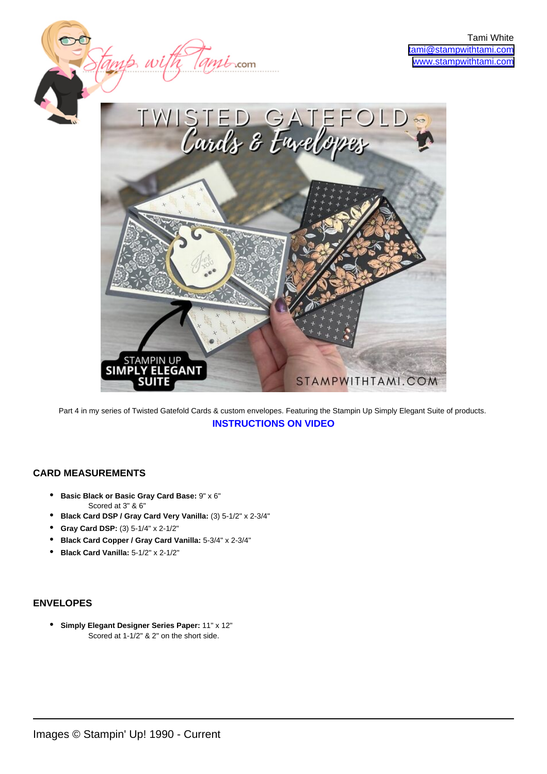

Part 4 in my series of Twisted Gatefold Cards & custom envelopes. Featuring the Stampin Up Simply Elegant Suite of products. **[INSTRUCTIONS ON VIDEO](https://youtu.be/BWV494KzYSM)**

## **CARD MEASUREMENTS**

- **Basic Black or Basic Gray Card Base:** 9" x 6" Scored at 3" & 6"
- **Black Card DSP / Gray Card Very Vanilla:** (3) 5-1/2" x 2-3/4"
- **Gray Card DSP:** (3) 5-1/4" x 2-1/2"
- **Black Card Copper / Gray Card Vanilla:** 5-3/4" x 2-3/4"
- **Black Card Vanilla:** 5-1/2" x 2-1/2"

## **ENVELOPES**

**• Simply Elegant Designer Series Paper:** 11" x 12" Scored at 1-1/2" & 2" on the short side.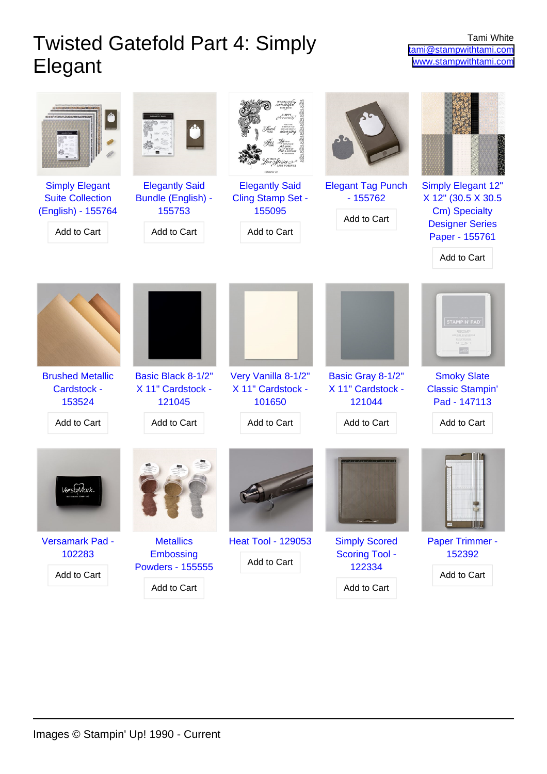## Twisted Gatefold Part 4: Simply Elegant

| <b>Simply Elegant</b><br><b>Suite Collection</b><br>(English) - 155764<br>Add to Cart | <b>Elegantly Said</b><br>Bundle (English) -<br>155753<br>Add to Cart    | <b>Elegantly Said</b><br><b>Cling Stamp Set -</b><br>155095<br>Add to Cart | <b>Elegant Tag Punch</b><br>$-155762$<br>Add to Cart                   | <b>Simply Elegant 12"</b><br>X 12" (30.5 X 30.5<br>Cm) Specialty<br><b>Designer Series</b><br>Paper - 155761<br>Add to Cart |
|---------------------------------------------------------------------------------------|-------------------------------------------------------------------------|----------------------------------------------------------------------------|------------------------------------------------------------------------|-----------------------------------------------------------------------------------------------------------------------------|
|                                                                                       |                                                                         |                                                                            |                                                                        | <b>STAMPIN' PAD</b>                                                                                                         |
| <b>Brushed Metallic</b><br>Cardstock -<br>153524<br>Add to Cart                       | Basic Black 8-1/2"<br>X 11" Cardstock -<br>121045<br>Add to Cart        | Very Vanilla 8-1/2"<br>X 11" Cardstock -<br>101650<br>Add to Cart          | Basic Gray 8-1/2"<br>X 11" Cardstock -<br>121044<br>Add to Cart        | <b>Smoky Slate</b><br><b>Classic Stampin'</b><br>Pad - 147113<br>Add to Cart                                                |
|                                                                                       |                                                                         |                                                                            |                                                                        |                                                                                                                             |
| Versamark Pad -<br>102283<br>Add to Cart                                              | <b>Metallics</b><br>Embossing<br><b>Powders - 155555</b><br>Add to Cart | <b>Heat Tool - 129053</b><br>Add to Cart                                   | <b>Simply Scored</b><br><b>Scoring Tool -</b><br>122334<br>Add to Cart | Paper Trimmer -<br>152392<br>Add to Cart                                                                                    |